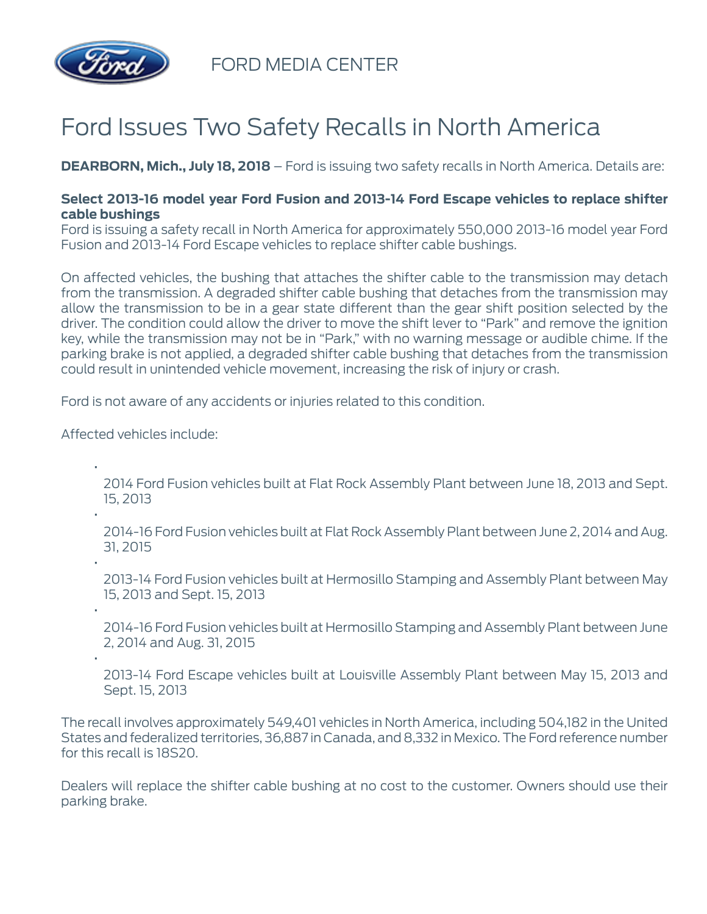

FORD MEDIA CENTER

## Ford Issues Two Safety Recalls in North America

**DEARBORN, Mich., July 18, 2018** – Ford is issuing two safety recalls in North America. Details are:

## **Select 2013-16 model year Ford Fusion and 2013-14 Ford Escape vehicles to replace shifter cable bushings**

Ford is issuing a safety recall in North America for approximately 550,000 2013-16 model year Ford Fusion and 2013-14 Ford Escape vehicles to replace shifter cable bushings.

On affected vehicles, the bushing that attaches the shifter cable to the transmission may detach from the transmission. A degraded shifter cable bushing that detaches from the transmission may allow the transmission to be in a gear state different than the gear shift position selected by the driver. The condition could allow the driver to move the shift lever to "Park" and remove the ignition key, while the transmission may not be in "Park," with no warning message or audible chime. If the parking brake is not applied, a degraded shifter cable bushing that detaches from the transmission could result in unintended vehicle movement, increasing the risk of injury or crash.

Ford is not aware of any accidents or injuries related to this condition.

Affected vehicles include:

•

•

•

•

•

2014 Ford Fusion vehicles built at Flat Rock Assembly Plant between June 18, 2013 and Sept. 15, 2013

2014-16 Ford Fusion vehicles built at Flat Rock Assembly Plant between June 2, 2014 and Aug. 31, 2015

2013-14 Ford Fusion vehicles built at Hermosillo Stamping and Assembly Plant between May 15, 2013 and Sept. 15, 2013

2014-16 Ford Fusion vehicles built at Hermosillo Stamping and Assembly Plant between June 2, 2014 and Aug. 31, 2015

2013-14 Ford Escape vehicles built at Louisville Assembly Plant between May 15, 2013 and Sept. 15, 2013

The recall involves approximately 549,401 vehicles in North America, including 504,182 in the United States and federalized territories, 36,887 in Canada, and 8,332 in Mexico. The Ford reference number for this recall is 18S20.

Dealers will replace the shifter cable bushing at no cost to the customer. Owners should use their parking brake.